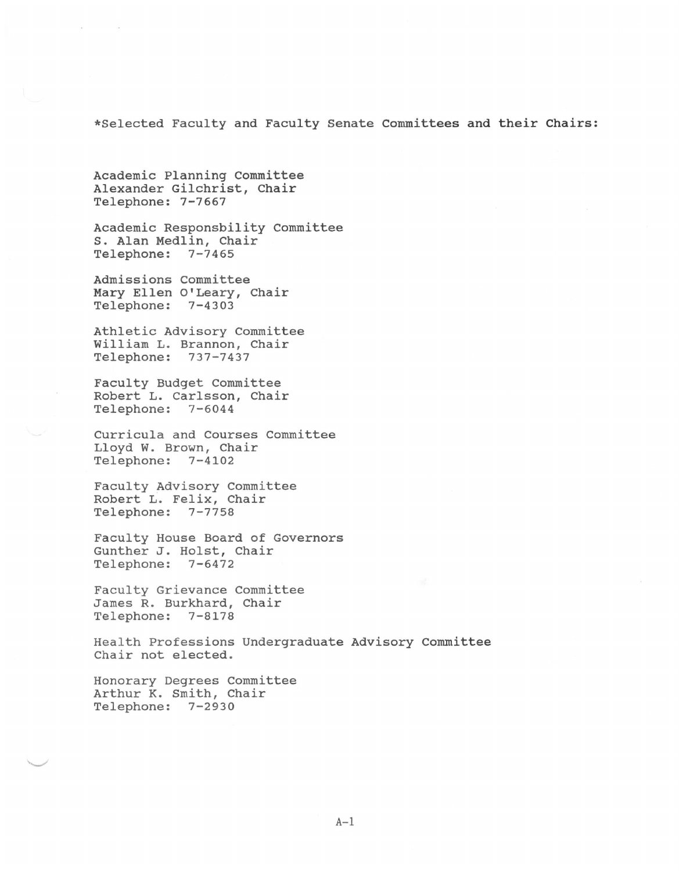\*Selected Faculty and Faculty Senate Committees and their Chairs:

Academic Planning Committee Alexander Gilchrist, Chair Telephone: 7-7667

Academic Responsbility Committee s. Alan Medlin, Chair Telephone: 7-7465

Admissions Committee Mary Ellen O'Leary, Chair Telephone: 7-4303

Athletic Advisory Committee William L. Brannon, Chair Telephone: 737-7437

Faculty Budget Committee Robert L. Carlsson, Chair Telephone: 7-6044

Curricula and Courses Committee Lloyd w. Brown, Chair Telephone: 7-4102

Faculty Advisory Committee Robert L. Felix, Chair Telephone: 7-7758

Faculty House Board of Governors Gunther J. Holst, Chair Telephone: 7-6472

Faculty Grievance Committee James R. Burkhard, Chair Telephone: 7-8178

Health Professions Undergraduate Advisory Committee Chair not elected.

Honorary Degrees Committee Arthur K. Smith, Chair Telephone: 7-2930